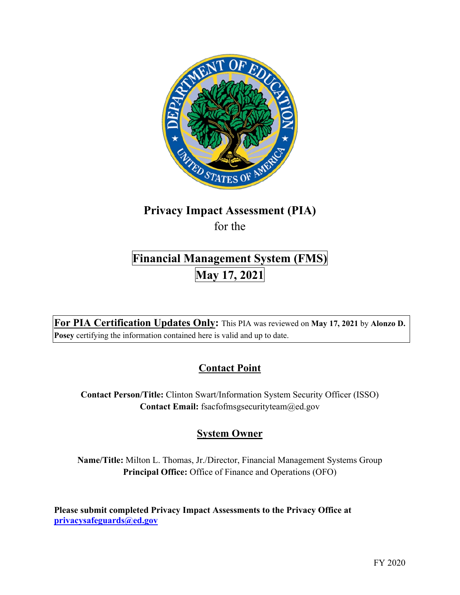

# **Privacy Impact Assessment (PIA)**

for the

## **Financial Management System (FMS) May 17, 2021**

 **For PIA Certification Updates Only:** This PIA was reviewed on **May 17, 2021** by **Alonzo D. Posey** certifying the information contained here is valid and up to date.

### **Contact Point**

**Contact Person/Title:** Clinton Swart/Information System Security Officer (ISSO) **Contact Email:** [fsacfofmsgsecurityteam@ed.gov](mailto:fsacfofmsgsecurityteam@ed.gov) 

### **System Owner**

**Name/Title:** Milton L. Thomas, Jr./Director, Financial Management Systems Group **Principal Office:** Office of Finance and Operations (OFO)

 **Please submit completed Privacy Impact Assessments to the Privacy Office at [privacysafeguards@ed.gov](mailto:privacysafeguards@ed.gov)**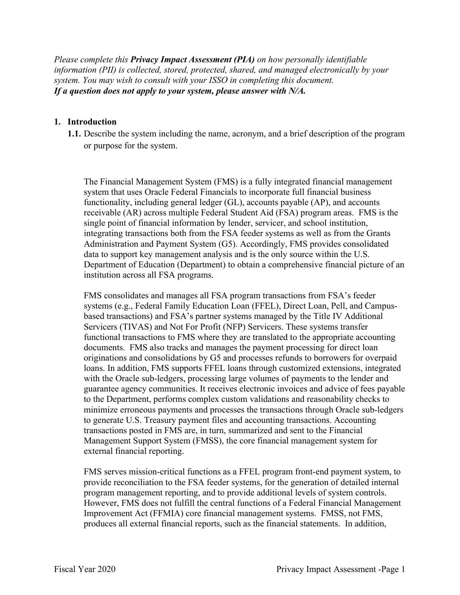*Please complete this Privacy Impact Assessment (PIA) on how personally identifiable information (PII) is collected, stored, protected, shared, and managed electronically by your system. You may wish to consult with your ISSO in completing this document. If a question does not apply to your system, please answer with N/A.* 

#### **1. Introduction**

or purpose for the system. **1.1.** Describe the system including the name, acronym, and a brief description of the program

 receivable (AR) across multiple Federal Student Aid (FSA) program areas. FMS is the single point of financial information by lender, servicer, and school institution, institution across all FSA programs. The Financial Management System (FMS) is a fully integrated financial management system that uses Oracle Federal Financials to incorporate full financial business functionality, including general ledger (GL), accounts payable (AP), and accounts integrating transactions both from the FSA feeder systems as well as from the Grants Administration and Payment System (G5). Accordingly, FMS provides consolidated data to support key management analysis and is the only source within the U.S. Department of Education (Department) to obtain a comprehensive financial picture of an

 based transactions) and FSA's partner systems managed by the Title IV Additional documents. FMS also tracks and manages the payment processing for direct loan loans. In addition, FMS supports FFEL loans through customized extensions, integrated with the Oracle sub-ledgers, processing large volumes of payments to the lender and to generate U.S. Treasury payment files and accounting transactions. Accounting Management Support System (FMSS), the core financial management system for FMS consolidates and manages all FSA program transactions from FSA's feeder systems (e.g., Federal Family Education Loan (FFEL), Direct Loan, Pell, and Campus-Servicers (TIVAS) and Not For Profit (NFP) Servicers. These systems transfer functional transactions to FMS where they are translated to the appropriate accounting originations and consolidations by G5 and processes refunds to borrowers for overpaid guarantee agency communities. It receives electronic invoices and advice of fees payable to the Department, performs complex custom validations and reasonability checks to minimize erroneous payments and processes the transactions through Oracle sub-ledgers transactions posted in FMS are, in turn, summarized and sent to the Financial external financial reporting.

 program management reporting, and to provide additional levels of system controls. However, FMS does not fulfill the central functions of a Federal Financial Management Improvement Act (FFMIA) core financial management systems. FMSS, not FMS, produces all external financial reports, such as the financial statements. In addition, FMS serves mission-critical functions as a FFEL program front-end payment system, to provide reconciliation to the FSA feeder systems, for the generation of detailed internal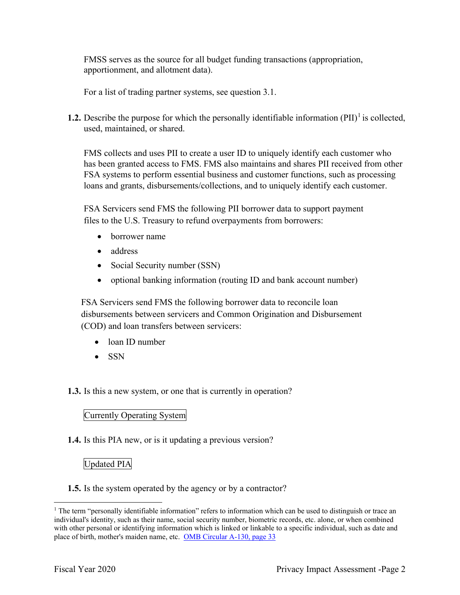FMSS serves as the source for all budget funding transactions (appropriation, apportionment, and allotment data).

For a list of trading partner systems, see question 3.1.

 used, maintained, or shared. **1.2.** Describe the purpose for which the personally identifiable information  $(PII)^{1}$  is collected,

 FMS collects and uses PII to create a user ID to uniquely identify each customer who has been granted access to FMS. FMS also maintains and shares PII received from other FSA systems to perform essential business and customer functions, such as processing loans and grants, disbursements/collections, and to uniquely identify each customer.

 files to the U.S. Treasury to refund overpayments from borrowers: FSA Servicers send FMS the following PII borrower data to support payment

- borrower name
- address
- Social Security number (SSN)
- optional banking information (routing ID and bank account number)

FSA Servicers send FMS the following borrower data to reconcile loan disbursements between servicers and Common Origination and Disbursement (COD) and loan transfers between servicers:

- loan ID number
- SSN

**1.3.** Is this a new system, or one that is currently in operation?

#### Currently Operating System

**1.4.** Is this PIA new, or is it updating a previous version?

#### Updated PIA

**1.5.** Is the system operated by the agency or by a contractor?

 $1$  The term "personally identifiable information" refers to information which can be used to distinguish or trace an individual's identity, such as their name, social security number, biometric records, etc. alone, or when combined with other personal or identifying information which is linked or linkable to a specific individual, such as date and place of birth, mother's maiden name, etc. OMB Circular A-130, page 33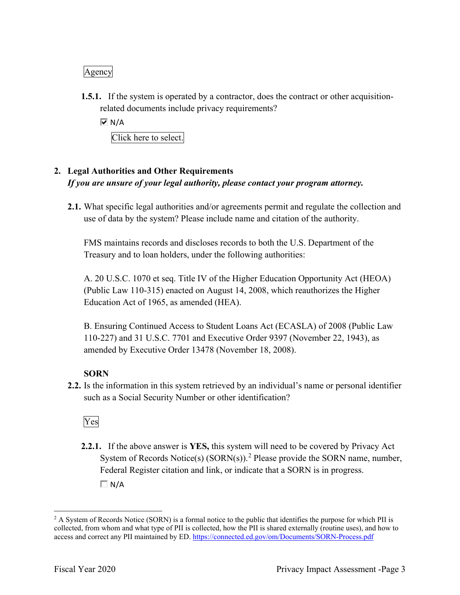#### Agency

**1.5.1.** If the system is operated by a contractor, does the contract or other acquisitionrelated documents include privacy requirements?

 $\overline{M}$  N/A

Click here to select.

### *If you are unsure of your legal authority, please contact your program attorney.*  **2. Legal Authorities and Other Requirements**

 **2.1.** What specific legal authorities and/or agreements permit and regulate the collection and use of data by the system? Please include name and citation of the authority.

 FMS maintains records and discloses records to both the U.S. Department of the Treasury and to loan holders, under the following authorities:

 A. 20 U.S.C. 1070 et seq. Title IV of the Higher Education Opportunity Act (HEOA) (Public Law 110-315) enacted on August 14, 2008, which reauthorizes the Higher Education Act of 1965, as amended (HEA).

 B. Ensuring Continued Access to Student Loans Act (ECASLA) of 2008 (Public Law 110-227) and 31 U.S.C. 7701 and Executive Order 9397 (November 22, 1943), as amended by Executive Order 13478 (November 18, 2008).

#### **SORN**

 **2.2.** Is the information in this system retrieved by an individual's name or personal identifier such as a Social Security Number or other identification?

Yes

**2.2.1.** If the above answer is **YES,** this system will need to be covered by Privacy Act System of Records Notice(s)  $(SORN(s))$ .<sup>2</sup> Please provide the SORN name, number, Federal Register citation and link, or indicate that a SORN is in progress.  $\Box N/A$ 

 $2$  A System of Records Notice (SORN) is a formal notice to the public that identifies the purpose for which PII is collected, from whom and what type of PII is collected, how the PII is shared externally (routine uses), and how to access and correct any PII maintained by ED. <https://connected.ed.gov/om/Documents/SORN-Process.pdf>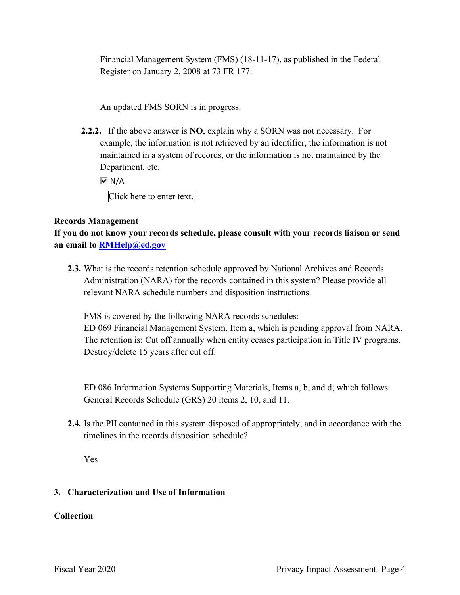Financial Management System (FMS) (18-11-17), as published in the Federal Register on January 2, 2008 at 73 FR 177.

An updated FMS SORN is in progress.

 **2.2.2.** If the above answer is **NO**, explain why a SORN was not necessary. For example, the information is not retrieved by an identifier, the information is not Department, etc. maintained in a system of records, or the information is not maintained by the

 $\overline{M}$  N/A

Click here to enter text.

#### **Records Management**

 **an email to [RMHelp@ed.gov](mailto:RMHelp@ed.gov) If you do not know your records schedule, please consult with your records liaison or send** 

**2.3.** What is the records retention schedule approved by National Archives and Records Administration (NARA) for the records contained in this system? Please provide all relevant NARA schedule numbers and disposition instructions.

FMS is covered by the following NARA records schedules:

 The retention is: Cut off annually when entity ceases participation in Title IV programs. Destroy/delete 15 years after cut off. ED 069 Financial Management System, Item a, which is pending approval from NARA.

ED 086 Information Systems Supporting Materials, Items a, b, and d; which follows General Records Schedule (GRS) 20 items 2, 10, and 11.

 timelines in the records disposition schedule? **2.4.** Is the PII contained in this system disposed of appropriately, and in accordance with the

Yes

#### **3. Characterization and Use of Information**

#### **Collection**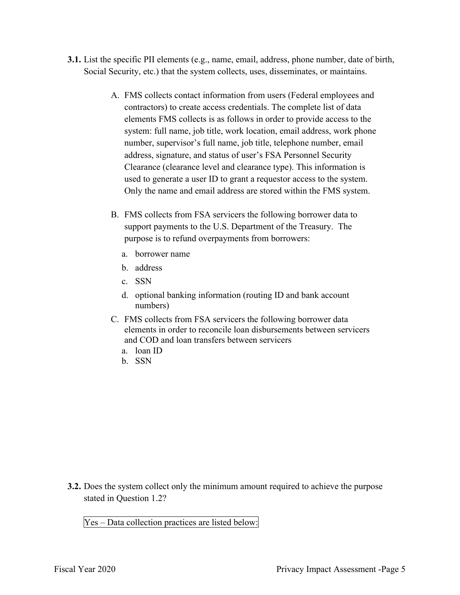- **3.1.** List the specific PII elements (e.g., name, email, address, phone number, date of birth, Social Security, etc.) that the system collects, uses, disseminates, or maintains.
	- elements FMS collects is as follows in order to provide access to the Only the name and email address are stored within the FMS system. A. FMS collects contact information from users (Federal employees and contractors) to create access credentials. The complete list of data system: full name, job title, work location, email address, work phone number, supervisor's full name, job title, telephone number, email address, signature, and status of user's FSA Personnel Security Clearance (clearance level and clearance type). This information is used to generate a user ID to grant a requestor access to the system.
	- B. FMS collects from FSA servicers the following borrower data to purpose is to refund overpayments from borrowers: a. borrower name support payments to the U.S. Department of the Treasury. The
		-
		- b. address
		- c. SSN
		- d. optional banking information (routing ID and bank account numbers)
	- C. FMS collects from FSA servicers the following borrower data elements in order to reconcile loan disbursements between servicers and COD and loan transfers between servicers
		- a. loan ID<br>b. SSN
		-

 **3.2.** Does the system collect only the minimum amount required to achieve the purpose stated in Question 1.2?

stated in Question 1.2?<br>Yes – Data collection practices are listed below: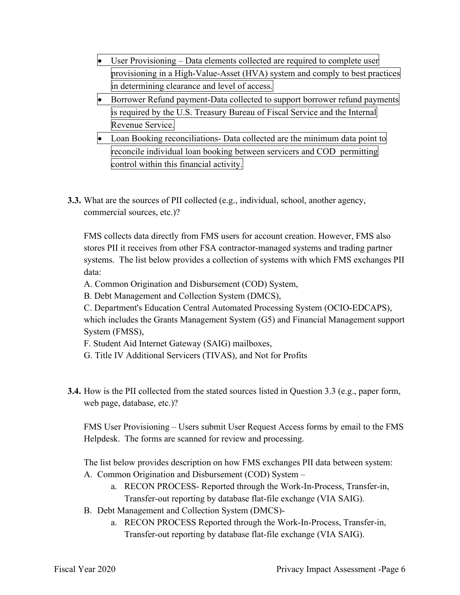- User Provisioning Data elements collected are required to complete user provisioning in a High-Value-Asset (HVA) system and comply to best practices in determining clearance and level of access.
- • Borrower Refund payment-Data collected to support borrower refund payments is required by the U.S. Treasury Bureau of Fiscal Service and the Internal Revenue Service.
- Loan Booking reconciliations- Data collected are the minimum data point to reconcile individual loan booking between servicers and COD permitting control within this financial activity.
- **3.3.** What are the sources of PII collected (e.g., individual, school, another agency, commercial sources, etc.)?

 systems. The list below provides a collection of systems with which FMS exchanges PII FMS collects data directly from FMS users for account creation. However, FMS also stores PII it receives from other FSA contractor-managed systems and trading partner data:

- A. Common Origination and Disbursement (COD) System,
- B. Debt Management and Collection System (DMCS),
- C. Department's Education Central Automated Processing System (OCIO-EDCAPS),

 which includes the Grants Management System (G5) and Financial Management support System (FMSS),

- F. Student Aid Internet Gateway (SAIG) mailboxes,
- G. Title IV Additional Servicers (TIVAS), and Not for Profits
- **3.4.** How is the PII collected from the stated sources listed in Question 3.3 (e.g., paper form, web page, database, etc.)?

 Helpdesk. The forms are scanned for review and processing. FMS User Provisioning – Users submit User Request Access forms by email to the FMS

The list below provides description on how FMS exchanges PII data between system:

- A. Common Origination and Disbursement (COD) System
	- a. RECON PROCESS- Reported through the Work-In-Process, Transfer-in, Transfer-out reporting by database flat-file exchange (VIA SAIG).
- B. Debt Management and Collection System (DMCS)
	- a. RECON PROCESS Reported through the Work-In-Process, Transfer-in, Transfer-out reporting by database flat-file exchange (VIA SAIG).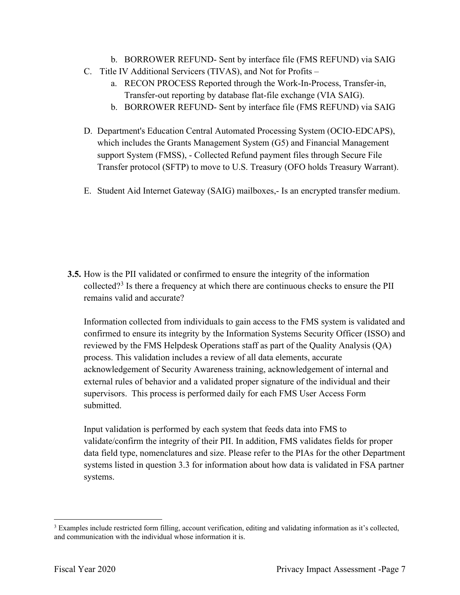- b. BORROWER REFUND- Sent by interface file (FMS REFUND) via SAIG
- C. Title IV Additional Servicers (TIVAS), and Not for Profits
	- a. RECON PROCESS Reported through the Work-In-Process, Transfer-in, Transfer-out reporting by database flat-file exchange (VIA SAIG).
	- b. BORROWER REFUND- Sent by interface file (FMS REFUND) via SAIG
- support System (FMSS), Collected Refund payment files through Secure File D. Department's Education Central Automated Processing System (OCIO-EDCAPS), which includes the Grants Management System (G5) and Financial Management Transfer protocol (SFTP) to move to U.S. Treasury (OFO holds Treasury Warrant).
- E. Student Aid Internet Gateway (SAIG) mailboxes,- Is an encrypted transfer medium.

 **3.5.** How is the PII validated or confirmed to ensure the integrity of the information collected?<sup>3</sup> Is there a frequency at which there are continuous checks to ensure the PII remains valid and accurate?

 Information collected from individuals to gain access to the FMS system is validated and supervisors. This process is performed daily for each FMS User Access Form confirmed to ensure its integrity by the Information Systems Security Officer (ISSO) and reviewed by the FMS Helpdesk Operations staff as part of the Quality Analysis (QA) process. This validation includes a review of all data elements, accurate acknowledgement of Security Awareness training, acknowledgement of internal and external rules of behavior and a validated proper signature of the individual and their submitted.

 Input validation is performed by each system that feeds data into FMS to validate/confirm the integrity of their PII. In addition, FMS validates fields for proper systems listed in question 3.3 for information about how data is validated in FSA partner systems. data field type, nomenclatures and size. Please refer to the PIAs for the other Department

systems.<br><sup>3</sup> Examples include restricted form filling, account verification, editing and validating information as it's collected, and communication with the individual whose information it is.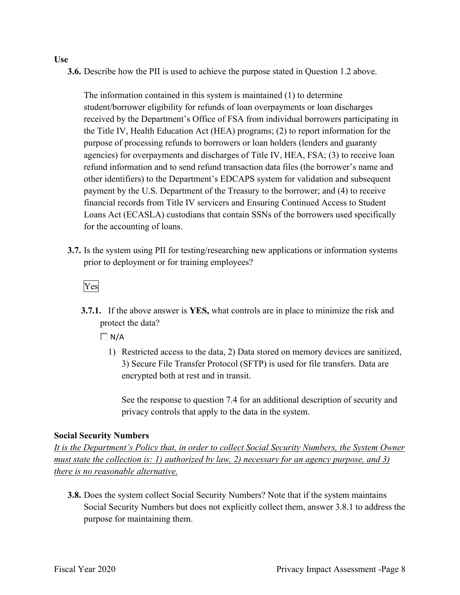#### **Use**

**3.6.** Describe how the PII is used to achieve the purpose stated in Question 1.2 above.

 the Title IV, Health Education Act (HEA) programs; (2) to report information for the purpose of processing refunds to borrowers or loan holders (lenders and guaranty agencies) for overpayments and discharges of Title IV, HEA, FSA; (3) to receive loan other identifiers) to the Department's EDCAPS system for validation and subsequent payment by the U.S. Department of the Treasury to the borrower; and (4) to receive The information contained in this system is maintained (1) to determine student/borrower eligibility for refunds of loan overpayments or loan discharges received by the Department's Office of FSA from individual borrowers participating in refund information and to send refund transaction data files (the borrower's name and financial records from Title IV servicers and Ensuring Continued Access to Student Loans Act (ECASLA) custodians that contain SSNs of the borrowers used specifically for the accounting of loans.

 **3.7.** Is the system using PII for testing/researching new applications or information systems prior to deployment or for training employees?<br>Ves

 **3.7.1.** If the above answer is **YES,** what controls are in place to minimize the risk and protect the data?

 $\Box N/A$ 

 1) Restricted access to the data, 2) Data stored on memory devices are sanitized, 3) Secure File Transfer Protocol (SFTP) is used for file transfers. Data are encrypted both at rest and in transit.

 See the response to question 7.4 for an additional description of security and privacy controls that apply to the data in the system.

#### **Social Security Numbers**

*It is the Department's Policy that, in order to collect Social Security Numbers, the System Owner must state the collection is: 1) authorized by law, 2) necessary for an agency purpose, and 3) there is no reasonable alternative.* 

 **3.8.** Does the system collect Social Security Numbers? Note that if the system maintains Social Security Numbers but does not explicitly collect them, answer 3.8.1 to address the purpose for maintaining them.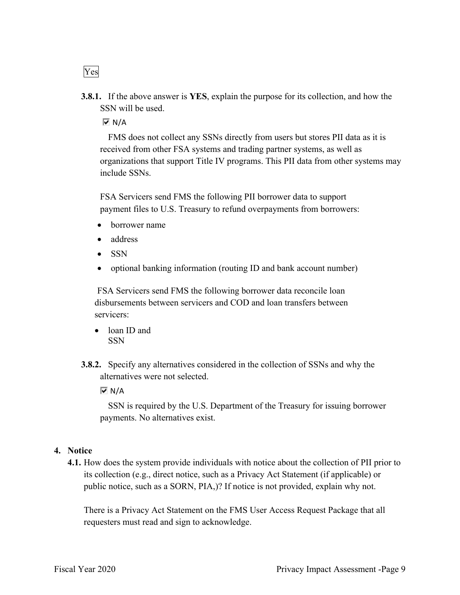**3.8.1.** If the above answer is **YES**, explain the purpose for its collection, and how the SSN will be used.

N/A

 FMS does not collect any SSNs directly from users but stores PII data as it is organizations that support Title IV programs. This PII data from other systems may received from other FSA systems and trading partner systems, as well as include SSNs.

FSA Servicers send FMS the following PII borrower data to support payment files to U.S. Treasury to refund overpayments from borrowers:

- borrower name
- address
- SSN
- optional banking information (routing ID and bank account number)

FSA Servicers send FMS the following borrower data reconcile loan disbursements between servicers and COD and loan transfers between servicers:

- loan ID and **SSN**
- **3.8.2.** Specify any alternatives considered in the collection of SSNs and why the alternatives were not selected.

 $\overline{M}$  N/A

 SSN is required by the U.S. Department of the Treasury for issuing borrower payments. No alternatives exist.

#### **4. Notice**

 its collection (e.g., direct notice, such as a Privacy Act Statement (if applicable) or **4.1.** How does the system provide individuals with notice about the collection of PII prior to public notice, such as a SORN, PIA,)? If notice is not provided, explain why not.

 There is a Privacy Act Statement on the FMS User Access Request Package that all requesters must read and sign to acknowledge.

Yes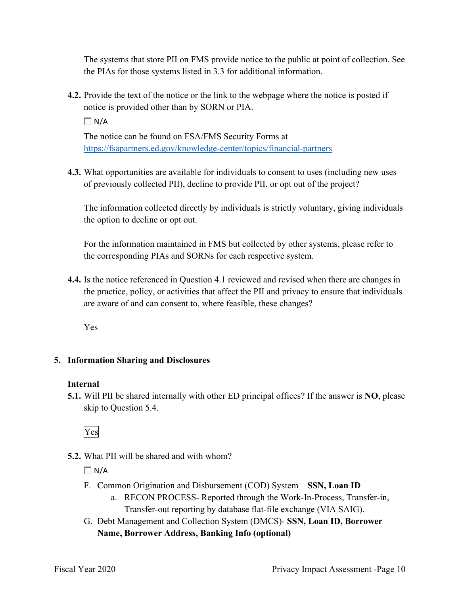The systems that store PII on FMS provide notice to the public at point of collection. See the PIAs for those systems listed in 3.3 for additional information.

**4.2.** Provide the text of the notice or the link to the webpage where the notice is posted if notice is provided other than by SORN or PIA.

 $\Box N/A$ 

The notice can be found on FSA/FMS Security Forms at <https://fsapartners.ed.gov/knowledge-center/topics/financial-partners>

 **4.3.** What opportunities are available for individuals to consent to uses (including new uses of previously collected PII), decline to provide PII, or opt out of the project?

The information collected directly by individuals is strictly voluntary, giving individuals the option to decline or opt out.

 For the information maintained in FMS but collected by other systems, please refer to the corresponding PIAs and SORNs for each respective system.

**4.4.** Is the notice referenced in Question 4.1 reviewed and revised when there are changes in the practice, policy, or activities that affect the PII and privacy to ensure that individuals are aware of and can consent to, where feasible, these changes?

Yes

#### **5. Information Sharing and Disclosures**

#### **Internal**

 **5.1.** Will PII be shared internally with other ED principal offices? If the answer is **NO**, please skip to Question 5.4.

Yes

#### **5.2.** What PII will be shared and with whom?

 $\Box$  N/A

- F. Common Origination and Disbursement (COD) System **SSN, Loan ID** 
	- a. RECON PROCESS- Reported through the Work-In-Process, Transfer-in, Transfer-out reporting by database flat-file exchange (VIA SAIG).
- G. Debt Management and Collection System (DMCS)- **SSN, Loan ID, Borrower Name, Borrower Address, Banking Info (optional)**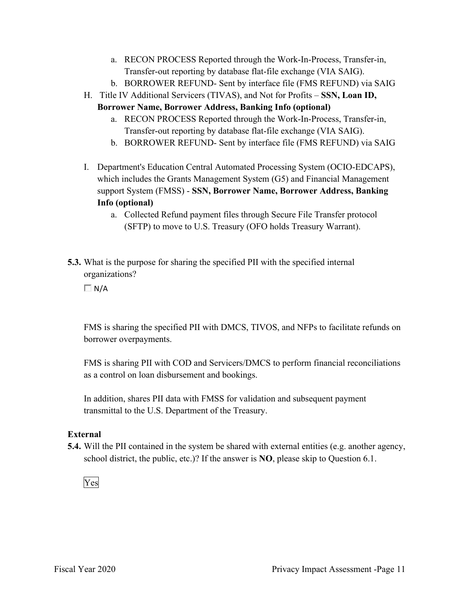- a. RECON PROCESS Reported through the Work-In-Process, Transfer-in, Transfer-out reporting by database flat-file exchange (VIA SAIG).
- b. BORROWER REFUND- Sent by interface file (FMS REFUND) via SAIG
- H. Title IV Additional Servicers (TIVAS), and Not for Profits **SSN, Loan ID,** 
	- **Borrower Name, Borrower Address, Banking Info (optional)** 
		- a. RECON PROCESS Reported through the Work-In-Process, Transfer-in, Transfer-out reporting by database flat-file exchange (VIA SAIG).
		- b. BORROWER REFUND- Sent by interface file (FMS REFUND) via SAIG
- support System (FMSS) **SSN, Borrower Name, Borrower Address, Banking**  I. Department's Education Central Automated Processing System (OCIO-EDCAPS), which includes the Grants Management System (G5) and Financial Management **Info (optional)** 
	- a. Collected Refund payment files through Secure File Transfer protocol (SFTP) to move to U.S. Treasury (OFO holds Treasury Warrant).
- **5.3.** What is the purpose for sharing the specified PII with the specified internal organizations?

 $\Box$  N/A

FMS is sharing the specified PII with DMCS, TIVOS, and NFPs to facilitate refunds on borrower overpayments.

FMS is sharing PII with COD and Servicers/DMCS to perform financial reconciliations as a control on loan disbursement and bookings.

 transmittal to the U.S. Department of the Treasury. In addition, shares PII data with FMSS for validation and subsequent payment

#### **External**

 **5.4.** Will the PII contained in the system be shared with external entities (e.g. another agency, school district, the public, etc.)? If the answer is **NO**, please skip to Question 6.1.

Yes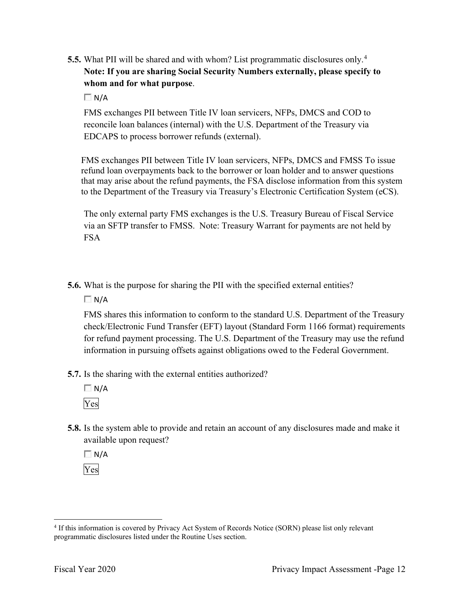- **5.5.** What PII will be shared and with whom? List programmatic disclosures only. 4  **Note: If you are sharing Social Security Numbers externally, please specify to whom and for what purpose**.
	- $\Box$  N/A

FMS exchanges PII between Title IV loan servicers, NFPs, DMCS and COD to reconcile loan balances (internal) with the U.S. Department of the Treasury via EDCAPS to process borrower refunds (external).

 that may arise about the refund payments, the FSA disclose information from this system FMS exchanges PII between Title IV loan servicers, NFPs, DMCS and FMSS To issue refund loan overpayments back to the borrower or loan holder and to answer questions to the Department of the Treasury via Treasury's Electronic Certification System (eCS).

The only external party FMS exchanges is the U.S. Treasury Bureau of Fiscal Service via an SFTP transfer to FMSS. Note: Treasury Warrant for payments are not held by FSA

**5.6.** What is the purpose for sharing the PII with the specified external entities?

 $\Box$  N/A

 FMS shares this information to conform to the standard U.S. Department of the Treasury check/Electronic Fund Transfer (EFT) layout (Standard Form 1166 format) requirements for refund payment processing. The U.S. Department of the Treasury may use the refund information in pursuing offsets against obligations owed to the Federal Government.

- **5.7.** Is the sharing with the external entities authorized?
	- $\Box N/A$ Yes
- **5.8.** Is the system able to provide and retain an account of any disclosures made and make it available upon request?

 $\Box$  N/A Yes

<sup>&</sup>lt;sup>4</sup> If this information is covered by Privacy Act System of Records Notice (SORN) please list only relevant programmatic disclosures listed under the Routine Uses section.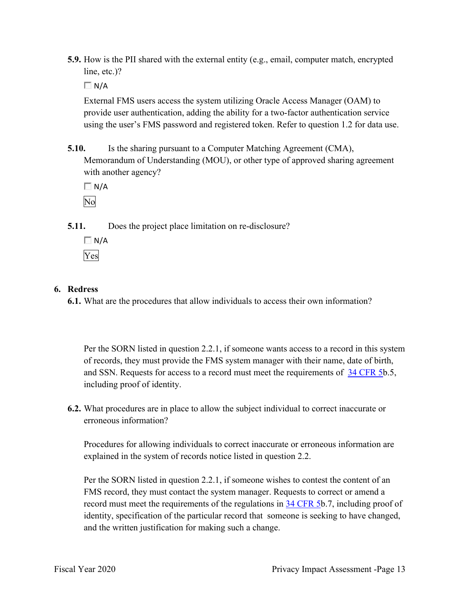**5.9.** How is the PII shared with the external entity (e.g., email, computer match, encrypted line, etc.)?

 $\Box$  N/A

 External FMS users access the system utilizing Oracle Access Manager (OAM) to provide user authentication, adding the ability for a two-factor authentication service using the user's FMS password and registered token. Refer to question 1.2 for data use.

**5.10.** Is the sharing pursuant to a Computer Matching Agreement (CMA), Memorandum of Understanding (MOU), or other type of approved sharing agreement with another agency?

 $\Box$  N/A No

**5.11.** Does the project place limitation on re-disclosure?

 $\Box$  N/A Yes

#### **6. Redress**

**6.1.** What are the procedures that allow individuals to access their own information?

 of records, they must provide the FMS system manager with their name, date of birth, and SSN. Requests for access to a record must meet the requirements of  $34$  CFR 5b.5, Per the SORN listed in question 2.2.1, if someone wants access to a record in this system including proof of identity.

 **6.2.** What procedures are in place to allow the subject individual to correct inaccurate or erroneous information?

Procedures for allowing individuals to correct inaccurate or erroneous information are explained in the system of records notice listed in question 2.2.

 Per the SORN listed in question 2.2.1, if someone wishes to contest the content of an FMS record, they must contact the system manager. Requests to correct or amend a record must meet the requirements of the regulations in 34 CFR 5b.7, including proof of identity, specification of the particular record that someone is seeking to have changed, and the written justification for making such a change.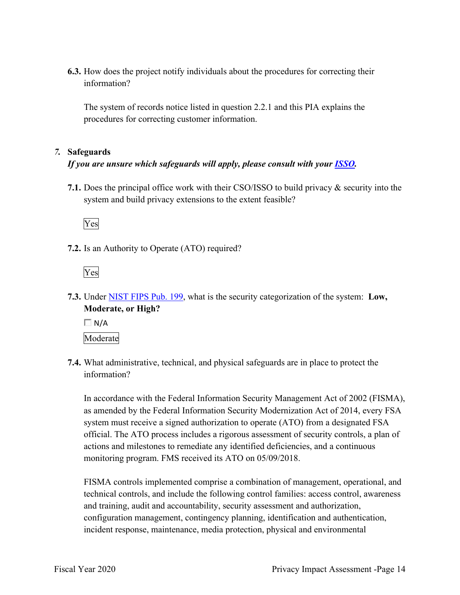**6.3.** How does the project notify individuals about the procedures for correcting their information?

The system of records notice listed in question 2.2.1 and this PIA explains the procedures for correcting customer information.

#### *7.* **Safeguards**

#### *If you are unsure which safeguards will apply, please consult with your ISSO.*

 **7.1.** Does the principal office work with their CSO/ISSO to build privacy & security into the system and build privacy extensions to the extent feasible?

Yes

**7.2.** Is an Authority to Operate (ATO) required?



 **7.3.** Under NIST FIPS Pub. 199, what is the security categorization of the system: **Low, Moderate, or High?** 

 $\Box N/A$ Moderate

 **7.4.** What administrative, technical, and physical safeguards are in place to protect the information?

In accordance with the Federal Information Security Management Act of 2002 (FISMA), as amended by the Federal Information Security Modernization Act of 2014, every FSA system must receive a signed authorization to operate (ATO) from a designated FSA official. The ATO process includes a rigorous assessment of security controls, a plan of actions and milestones to remediate any identified deficiencies, and a continuous monitoring program. FMS received its ATO on 05/09/2018.

 FISMA controls implemented comprise a combination of management, operational, and technical controls, and include the following control families: access control, awareness and training, audit and accountability, security assessment and authorization, configuration management, contingency planning, identification and authentication, incident response, maintenance, media protection, physical and environmental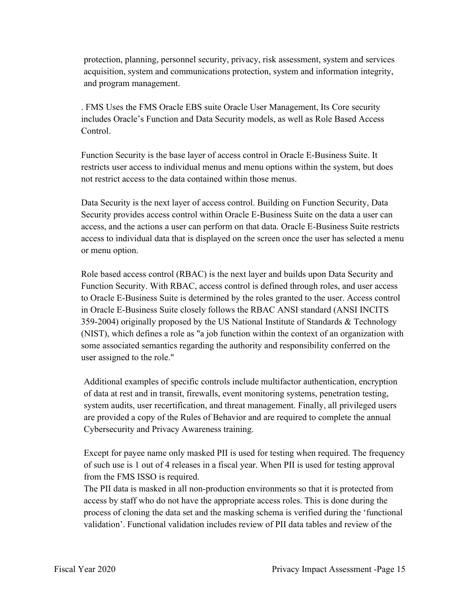protection, planning, personnel security, privacy, risk assessment, system and services acquisition, system and communications protection, system and information integrity, and program management.

. FMS Uses the FMS Oracle EBS suite Oracle User Management, Its Core security includes Oracle's Function and Data Security models, as well as Role Based Access Control.

 Function Security is the base layer of access control in Oracle E-Business Suite. It restricts user access to individual menus and menu options within the system, but does not restrict access to the data contained within those menus.

Data Security is the next layer of access control. Building on Function Security, Data Security provides access control within Oracle E-Business Suite on the data a user can access, and the actions a user can perform on that data. Oracle E-Business Suite restricts access to individual data that is displayed on the screen once the user has selected a menu or menu option.

 to Oracle E-Business Suite is determined by the roles granted to the user. Access control (NIST), which defines a role as "a job function within the context of an organization with user assigned to the role." Role based access control (RBAC) is the next layer and builds upon Data Security and Function Security. With RBAC, access control is defined through roles, and user access in Oracle E-Business Suite closely follows the RBAC ANSI standard (ANSI INCITS 359-2004) originally proposed by the US National Institute of Standards & Technology some associated semantics regarding the authority and responsibility conferred on the

 Additional examples of specific controls include multifactor authentication, encryption are provided a copy of the Rules of Behavior and are required to complete the annual of data at rest and in transit, firewalls, event monitoring systems, penetration testing, system audits, user recertification, and threat management. Finally, all privileged users Cybersecurity and Privacy Awareness training.

 of such use is 1 out of 4 releases in a fiscal year. When PII is used for testing approval from the FMS ISSO is required. Except for payee name only masked PII is used for testing when required. The frequency

The PII data is masked in all non-production environments so that it is protected from access by staff who do not have the appropriate access roles. This is done during the process of cloning the data set and the masking schema is verified during the 'functional validation'. Functional validation includes review of PII data tables and review of the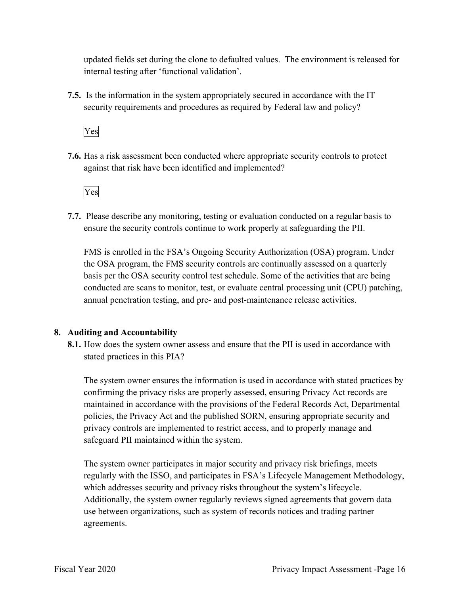updated fields set during the clone to defaulted values. The environment is released for internal testing after 'functional validation'.

 **7.5.** Is the information in the system appropriately secured in accordance with the IT security requirements and procedures as required by Federal law and policy?

Yes

**7.6.** Has a risk assessment been conducted where appropriate security controls to protect against that risk have been identified and implemented?

Yes

 ensure the security controls continue to work properly at safeguarding the PII. **7.7.** Please describe any monitoring, testing or evaluation conducted on a regular basis to

 FMS is enrolled in the FSA's Ongoing Security Authorization (OSA) program. Under the OSA program, the FMS security controls are continually assessed on a quarterly annual penetration testing, and pre- and post-maintenance release activities. basis per the OSA security control test schedule. Some of the activities that are being conducted are scans to monitor, test, or evaluate central processing unit (CPU) patching,

#### **8. Auditing and Accountability**

 **8.1.** How does the system owner assess and ensure that the PII is used in accordance with stated practices in this PIA?

 confirming the privacy risks are properly assessed, ensuring Privacy Act records are policies, the Privacy Act and the published SORN, ensuring appropriate security and privacy controls are implemented to restrict access, and to properly manage and The system owner ensures the information is used in accordance with stated practices by maintained in accordance with the provisions of the Federal Records Act, Departmental safeguard PII maintained within the system.

 Additionally, the system owner regularly reviews signed agreements that govern data The system owner participates in major security and privacy risk briefings, meets regularly with the ISSO, and participates in FSA's Lifecycle Management Methodology, which addresses security and privacy risks throughout the system's lifecycle. use between organizations, such as system of records notices and trading partner agreements.